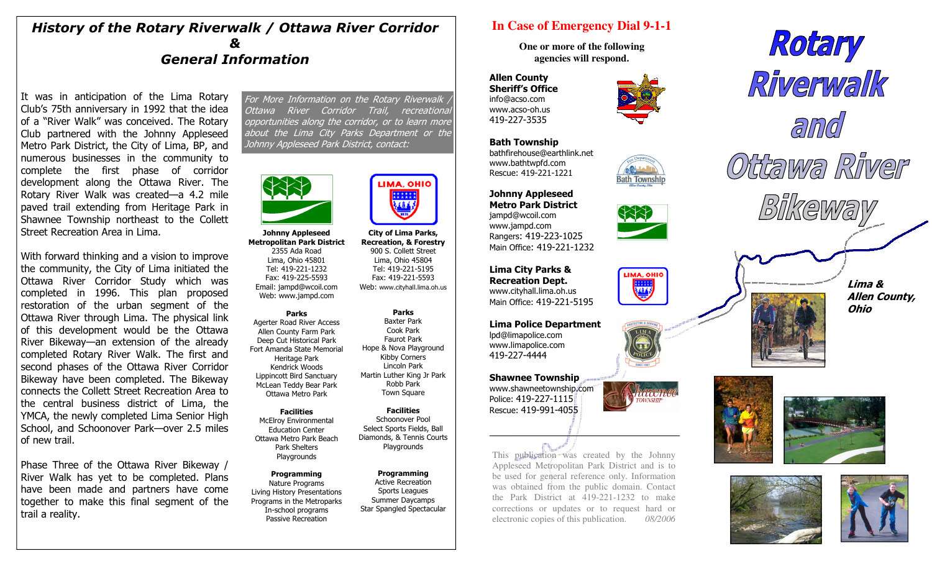## History of the Rotary Riverwalk / Ottawa River Corridor & General Information

It was in anticipation of the Lima Rotary Club's 75th anniversary in 1992 that the idea of a "River Walk" was conceived. The Rotary Club partnered with the Johnny Appleseed Metro Park District, the City of Lima, BP, and numerous businesses in the community to complete the first phase of corridor development along the Ottawa River. The Rotary River Walk was created—a 4.2 mile paved trail extending from Heritage Park in Shawnee Township northeast to the Collett Street Recreation Area in Lima.

With forward thinking and a vision to improve the community, the City of Lima initiated the Ottawa River Corridor Study which was completed in 1996. This plan proposed restoration of the urban segment of the Ottawa River through Lima. The physical link of this development would be the Ottawa River Bikeway—an extension of the already completed Rotary River Walk. The first and second phases of the Ottawa River Corridor Bikeway have been completed. The Bikeway connects the Collett Street Recreation Area to the central business district of Lima, the YMCA, the newly completed Lima Senior High School, and Schoonover Park—over 2.5 miles of new trail.

Phase Three of the Ottawa River Bikeway / River Walk has yet to be completed. Plans have been made and partners have come together to make this final segment of the trail a reality.

For More Information on the Rotary Riverwalk Ottawa River Corridor Trail, recreational opportunities along the corridor, or to learn more about the Lima City Parks Department or the Johnny Appleseed Park District, contact:



#### Johnny Appleseed Metropolitan Park District

2355 Ada Road Lima, Ohio 45801 Tel: 419-221-1232 Fax: 419-225-5593 Email: jampd@wcoil.com Web: www.jampd.com

Parks Agerter Road River Access Allen County Farm Park Deep Cut Historical Park Fort Amanda State Memorial Heritage Park Kendrick Woods Lippincott Bird Sanctuary McLean Teddy Bear Park Ottawa Metro Park

**Facilities**  McElroy Environmental Education Center Ottawa Metro Park Beach Park Shelters Playgrounds

Programming Nature Programs Living History Presentations Programs in the Metroparks In-school programs Passive Recreation

 Tel: 419-221-5195 Fax: 419-221-5593 Web: www.cityhall.lima.oh.usParks Baxter Park Cook Park Faurot Park

City of Lima Parks, Recreation, & Forestry 900 S. Collett Street Lima, Ohio 45804

**IMA, OHIO** 

 Hope & Nova Playground Kibby Corners Lincoln Park Martin Luther King Jr Park Robb Park Town Square

Facilities Schoonover Pool Select Sports Fields, Ball Diamonds, & Tennis Courts **Playgrounds** 

**Programming**  Active Recreation Sports Leagues Summer Daycamps Star Spangled Spectacular

# **In Case of Emergency Dial 9-1-1**

**One or more of the following agencies will respond.** 

Allen County Sheriff's Office info@acso.com www.acso-oh.us 419-227-3535

Bath Township bathfirehouse@earthlink.net www.bathtwpfd.com Rescue: 419-221-1221

Johnny Appleseed Metro Park District jampd@wcoil.com www.jampd.com

Rangers: 419-223-1025





LIMA, OHIO 植物

laam

 Main Office: 419-221-1232 Lima City Parks & Recreation Dept.

 www.cityhall.lima.oh.us Main Office: 419-221-5195

Lima Police Department lpd@limapolice.com www.limapolice.com 419-227-4444

#### Shawnee Township www.shawneetownship.com Police: 419-227-1115 Rescue: 419-991-4055

This publication was created by the Johnny Appleseed Metropolitan Park District and is to be used for general reference only. Information was obtained from the public domain. Contact the Park District at 419-221-1232 to make corrections or updates or to request hard or electronic copies of this publication. *08/2006*